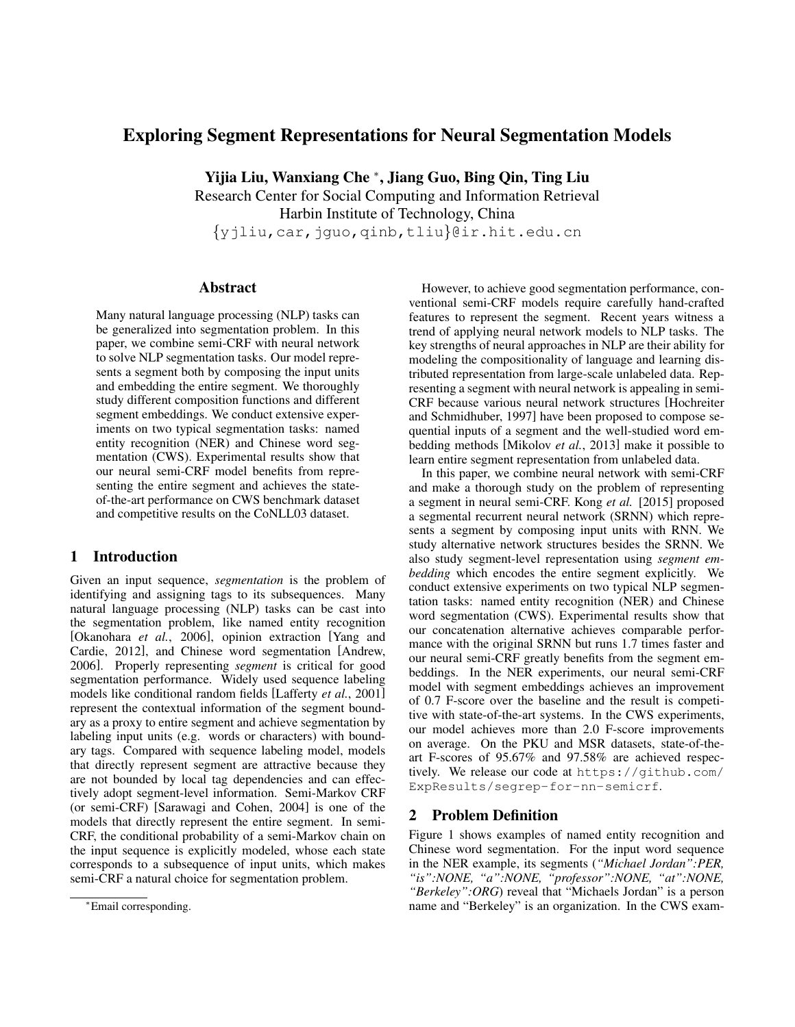# Exploring Segment Representations for Neural Segmentation Models

Yijia Liu, Wanxiang Che <sup>∗</sup> , Jiang Guo, Bing Qin, Ting Liu

Research Center for Social Computing and Information Retrieval Harbin Institute of Technology, China

{yjliu,car,jguo,qinb,tliu}@ir.hit.edu.cn

# Abstract

Many natural language processing (NLP) tasks can be generalized into segmentation problem. In this paper, we combine semi-CRF with neural network to solve NLP segmentation tasks. Our model represents a segment both by composing the input units and embedding the entire segment. We thoroughly study different composition functions and different segment embeddings. We conduct extensive experiments on two typical segmentation tasks: named entity recognition (NER) and Chinese word segmentation (CWS). Experimental results show that our neural semi-CRF model benefits from representing the entire segment and achieves the stateof-the-art performance on CWS benchmark dataset and competitive results on the CoNLL03 dataset.

# 1 Introduction

Given an input sequence, *segmentation* is the problem of identifying and assigning tags to its subsequences. Many natural language processing (NLP) tasks can be cast into the segmentation problem, like named entity recognition [Okanohara *et al.*, 2006], opinion extraction [Yang and Cardie, 2012], and Chinese word segmentation [Andrew, 2006]. Properly representing *segment* is critical for good segmentation performance. Widely used sequence labeling models like conditional random fields [Lafferty *et al.*, 2001] represent the contextual information of the segment boundary as a proxy to entire segment and achieve segmentation by labeling input units (e.g. words or characters) with boundary tags. Compared with sequence labeling model, models that directly represent segment are attractive because they are not bounded by local tag dependencies and can effectively adopt segment-level information. Semi-Markov CRF (or semi-CRF) [Sarawagi and Cohen, 2004] is one of the models that directly represent the entire segment. In semi-CRF, the conditional probability of a semi-Markov chain on the input sequence is explicitly modeled, whose each state corresponds to a subsequence of input units, which makes semi-CRF a natural choice for segmentation problem.

However, to achieve good segmentation performance, conventional semi-CRF models require carefully hand-crafted features to represent the segment. Recent years witness a trend of applying neural network models to NLP tasks. The key strengths of neural approaches in NLP are their ability for modeling the compositionality of language and learning distributed representation from large-scale unlabeled data. Representing a segment with neural network is appealing in semi-CRF because various neural network structures [Hochreiter and Schmidhuber, 1997] have been proposed to compose sequential inputs of a segment and the well-studied word embedding methods [Mikolov *et al.*, 2013] make it possible to learn entire segment representation from unlabeled data.

In this paper, we combine neural network with semi-CRF and make a thorough study on the problem of representing a segment in neural semi-CRF. Kong *et al.* [2015] proposed a segmental recurrent neural network (SRNN) which represents a segment by composing input units with RNN. We study alternative network structures besides the SRNN. We also study segment-level representation using *segment embedding* which encodes the entire segment explicitly. We conduct extensive experiments on two typical NLP segmentation tasks: named entity recognition (NER) and Chinese word segmentation (CWS). Experimental results show that our concatenation alternative achieves comparable performance with the original SRNN but runs 1.7 times faster and our neural semi-CRF greatly benefits from the segment embeddings. In the NER experiments, our neural semi-CRF model with segment embeddings achieves an improvement of 0.7 F-score over the baseline and the result is competitive with state-of-the-art systems. In the CWS experiments, our model achieves more than 2.0 F-score improvements on average. On the PKU and MSR datasets, state-of-theart F-scores of 95.67% and 97.58% are achieved respectively. We release our code at https://github.com/ ExpResults/segrep-for-nn-semicrf.

# 2 Problem Definition

Figure 1 shows examples of named entity recognition and Chinese word segmentation. For the input word sequence in the NER example, its segments (*"Michael Jordan":PER, "is":NONE, "a":NONE, "professor":NONE, "at":NONE, "Berkeley":ORG*) reveal that "Michaels Jordan" is a person name and "Berkeley" is an organization. In the CWS exam-

<sup>∗</sup>Email corresponding.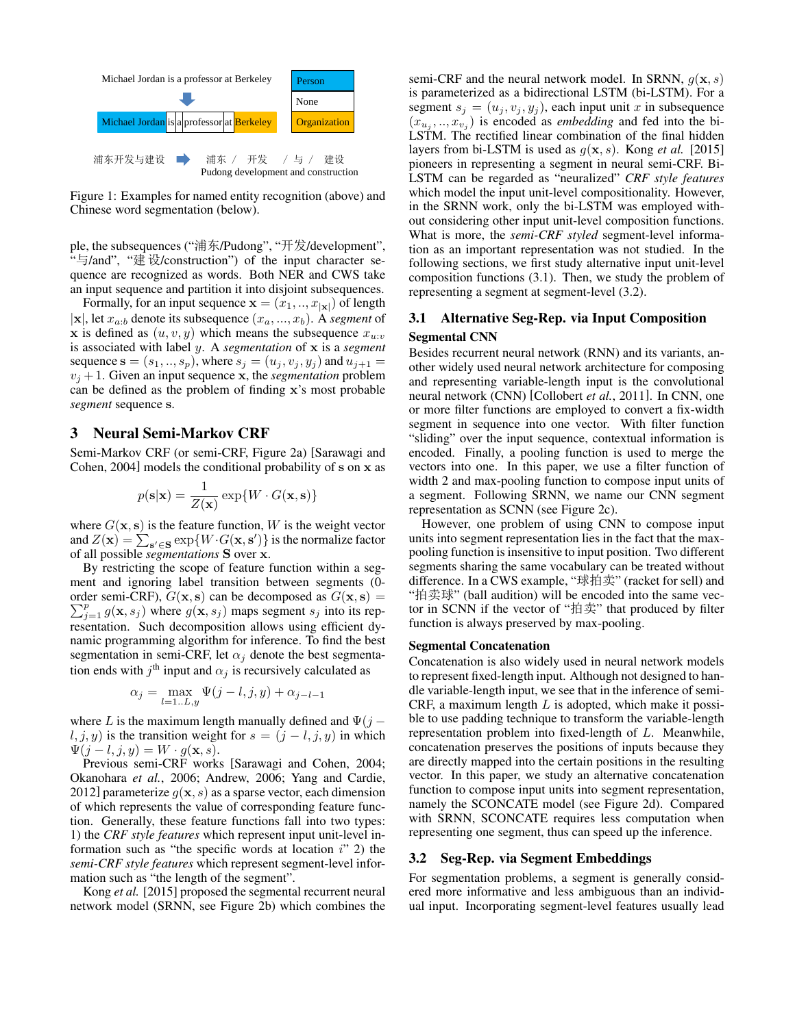

Figure 1: Examples for named entity recognition (above) and Chinese word segmentation (below).

ple, the subsequences ("浦东/Pudong", "开发/development", "与/and", "建设/construction") of the input character sequence are recognized as words. Both NER and CWS take an input sequence and partition it into disjoint subsequences.

Formally, for an input sequence  $\mathbf{x} = (x_1, ..., x_{|\mathbf{x}|})$  of length  $|\mathbf{x}|$ , let  $x_{a:b}$  denote its subsequence  $(x_a, ..., x_b)$ . A *segment* of x is defined as  $(u, v, y)$  which means the subsequence  $x_{u:v}$ is associated with label y. A *segmentation* of x is a *segment* sequence  $s = (s_1, ..., s_p)$ , where  $s_j = (u_j, v_j, y_j)$  and  $u_{j+1} =$  $v_i + 1$ . Given an input sequence x, the *segmentation* problem can be defined as the problem of finding x's most probable *segment* sequence s.

# 3 Neural Semi-Markov CRF

Semi-Markov CRF (or semi-CRF, Figure 2a) [Sarawagi and Cohen, 2004] models the conditional probability of s on x as

$$
p(\mathbf{s}|\mathbf{x}) = \frac{1}{Z(\mathbf{x})} \exp\{W \cdot G(\mathbf{x}, \mathbf{s})\}
$$

where  $G(x, s)$  is the feature function, W is the weight vector and  $Z(\mathbf{x}) = \sum_{\mathbf{s}' \in \mathbf{S}} \exp\{W \cdot G(\mathbf{x}, \mathbf{s}')\}$  is the normalize factor of all possible *segmentations* S over x.

By restricting the scope of feature function within a segment and ignoring label transition between segments (0 order semi-CRF),  $G(x, s)$  can be decomposed as  $G(x, s) =$  $\sum_{j=1}^{p} g(\mathbf{x}, s_j)$  where  $g(\mathbf{x}, s_j)$  maps segment  $s_j$  into its representation. Such decomposition allows using efficient dynamic programming algorithm for inference. To find the best segmentation in semi-CRF, let  $\alpha_j$  denote the best segmentation ends with  $j^{\text{th}}$  input and  $\alpha_j$  is recursively calculated as

$$
\alpha_j = \max_{l=1...L,y} \Psi(j-l,j,y) + \alpha_{j-l-1}
$$

where L is the maximum length manually defined and  $\Psi(j$  $l, j, y$  is the transition weight for  $s = (j - l, j, y)$  in which  $\Psi(j-l, j, y) = W \cdot g(\mathbf{x}, s).$ 

Previous semi-CRF works [Sarawagi and Cohen, 2004; Okanohara *et al.*, 2006; Andrew, 2006; Yang and Cardie, 2012] parameterize  $g(x, s)$  as a sparse vector, each dimension of which represents the value of corresponding feature function. Generally, these feature functions fall into two types: 1) the *CRF style features* which represent input unit-level information such as "the specific words at location  $i$ " 2) the *semi-CRF style features* which represent segment-level information such as "the length of the segment".

Kong *et al.* [2015] proposed the segmental recurrent neural network model (SRNN, see Figure 2b) which combines the semi-CRF and the neural network model. In SRNN,  $q(\mathbf{x}, s)$ is parameterized as a bidirectional LSTM (bi-LSTM). For a segment  $s_i = (u_i, v_i, y_i)$ , each input unit x in subsequence  $(x_{u_j},...,x_{v_j})$  is encoded as *embedding* and fed into the bi-LSTM. The rectified linear combination of the final hidden layers from bi-LSTM is used as  $g(x, s)$ . Kong *et al.* [2015] pioneers in representing a segment in neural semi-CRF. Bi-LSTM can be regarded as "neuralized" *CRF style features* which model the input unit-level compositionality. However, in the SRNN work, only the bi-LSTM was employed without considering other input unit-level composition functions. What is more, the *semi-CRF styled* segment-level information as an important representation was not studied. In the following sections, we first study alternative input unit-level composition functions (3.1). Then, we study the problem of representing a segment at segment-level (3.2).

# 3.1 Alternative Seg-Rep. via Input Composition Segmental CNN

Besides recurrent neural network (RNN) and its variants, another widely used neural network architecture for composing and representing variable-length input is the convolutional neural network (CNN) [Collobert *et al.*, 2011]. In CNN, one or more filter functions are employed to convert a fix-width segment in sequence into one vector. With filter function "sliding" over the input sequence, contextual information is encoded. Finally, a pooling function is used to merge the vectors into one. In this paper, we use a filter function of width 2 and max-pooling function to compose input units of a segment. Following SRNN, we name our CNN segment representation as SCNN (see Figure 2c).

However, one problem of using CNN to compose input units into segment representation lies in the fact that the maxpooling function is insensitive to input position. Two different segments sharing the same vocabulary can be treated without difference. In a CWS example, "球拍卖" (racket for sell) and "拍卖球" (ball audition) will be encoded into the same vector in SCNN if the vector of " $\hat{\text{H}}\ddot{\text{F}}$ " that produced by filter function is always preserved by max-pooling.

### Segmental Concatenation

Concatenation is also widely used in neural network models to represent fixed-length input. Although not designed to handle variable-length input, we see that in the inference of semi-CRF, a maximum length  $L$  is adopted, which make it possible to use padding technique to transform the variable-length representation problem into fixed-length of L. Meanwhile, concatenation preserves the positions of inputs because they are directly mapped into the certain positions in the resulting vector. In this paper, we study an alternative concatenation function to compose input units into segment representation, namely the SCONCATE model (see Figure 2d). Compared with SRNN, SCONCATE requires less computation when representing one segment, thus can speed up the inference.

### 3.2 Seg-Rep. via Segment Embeddings

For segmentation problems, a segment is generally considered more informative and less ambiguous than an individual input. Incorporating segment-level features usually lead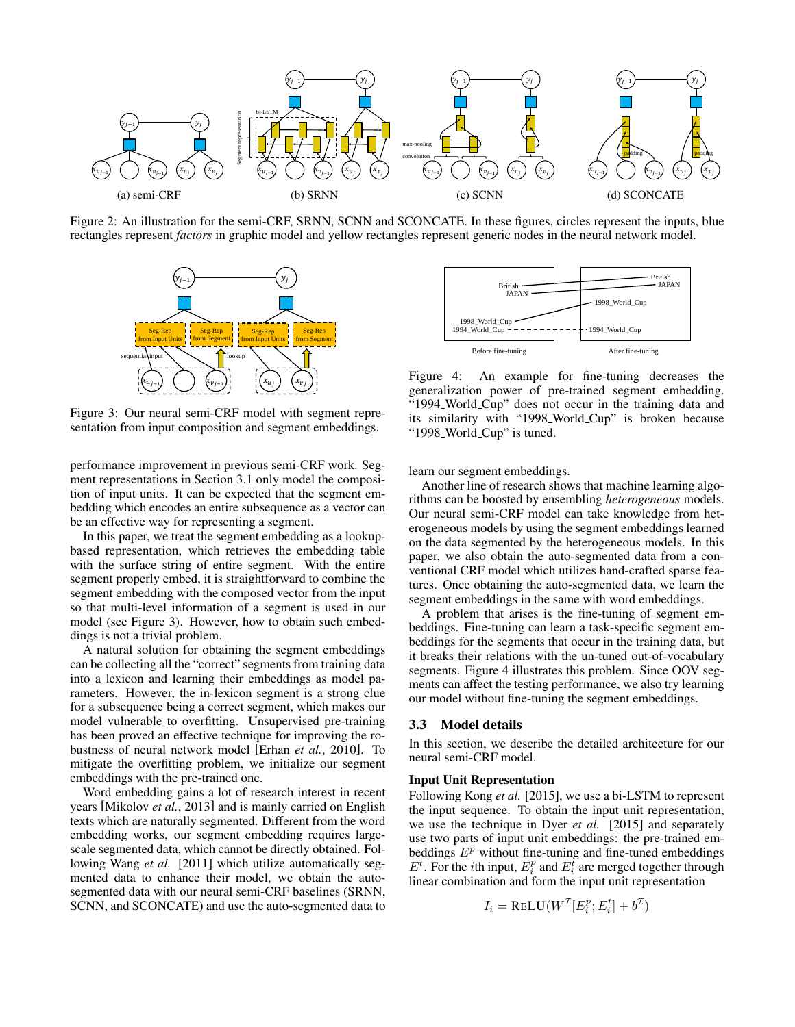

Figure 2: An illustration for the semi-CRF, SRNN, SCNN and SCONCATE. In these figures, circles represent the inputs, blue rectangles represent *factors* in graphic model and yellow rectangles represent generic nodes in the neural network model.



Figure 3: Our neural semi-CRF model with segment representation from input composition and segment embeddings.

performance improvement in previous semi-CRF work. Segment representations in Section 3.1 only model the composition of input units. It can be expected that the segment embedding which encodes an entire subsequence as a vector can be an effective way for representing a segment.

In this paper, we treat the segment embedding as a lookupbased representation, which retrieves the embedding table with the surface string of entire segment. With the entire segment properly embed, it is straightforward to combine the segment embedding with the composed vector from the input so that multi-level information of a segment is used in our model (see Figure 3). However, how to obtain such embeddings is not a trivial problem.

A natural solution for obtaining the segment embeddings can be collecting all the "correct" segments from training data into a lexicon and learning their embeddings as model parameters. However, the in-lexicon segment is a strong clue for a subsequence being a correct segment, which makes our model vulnerable to overfitting. Unsupervised pre-training has been proved an effective technique for improving the robustness of neural network model [Erhan *et al.*, 2010]. To mitigate the overfitting problem, we initialize our segment embeddings with the pre-trained one.

Word embedding gains a lot of research interest in recent years [Mikolov *et al.*, 2013] and is mainly carried on English texts which are naturally segmented. Different from the word embedding works, our segment embedding requires largescale segmented data, which cannot be directly obtained. Following Wang *et al.* [2011] which utilize automatically segmented data to enhance their model, we obtain the autosegmented data with our neural semi-CRF baselines (SRNN, SCNN, and SCONCATE) and use the auto-segmented data to



Figure 4: An example for fine-tuning decreases the generalization power of pre-trained segment embedding. "1994 World Cup" does not occur in the training data and its similarity with "1998 World Cup" is broken because "1998\_World\_Cup" is tuned.

learn our segment embeddings.

Another line of research shows that machine learning algorithms can be boosted by ensembling *heterogeneous* models. Our neural semi-CRF model can take knowledge from heterogeneous models by using the segment embeddings learned on the data segmented by the heterogeneous models. In this paper, we also obtain the auto-segmented data from a conventional CRF model which utilizes hand-crafted sparse features. Once obtaining the auto-segmented data, we learn the segment embeddings in the same with word embeddings.

A problem that arises is the fine-tuning of segment embeddings. Fine-tuning can learn a task-specific segment embeddings for the segments that occur in the training data, but it breaks their relations with the un-tuned out-of-vocabulary segments. Figure 4 illustrates this problem. Since OOV segments can affect the testing performance, we also try learning our model without fine-tuning the segment embeddings.

### 3.3 Model details

In this section, we describe the detailed architecture for our neural semi-CRF model.

#### Input Unit Representation

Following Kong *et al.* [2015], we use a bi-LSTM to represent the input sequence. To obtain the input unit representation, we use the technique in Dyer *et al.* [2015] and separately use two parts of input unit embeddings: the pre-trained embeddings  $E^p$  without fine-tuning and fine-tuned embeddings  $E^t$ . For the *i*th input,  $E_i^p$  and  $E_i^t$  are merged together through linear combination and form the input unit representation

$$
I_i = \text{ReLU}(W^{\mathcal{I}}[E^p_i; E^t_i] + b^{\mathcal{I}})
$$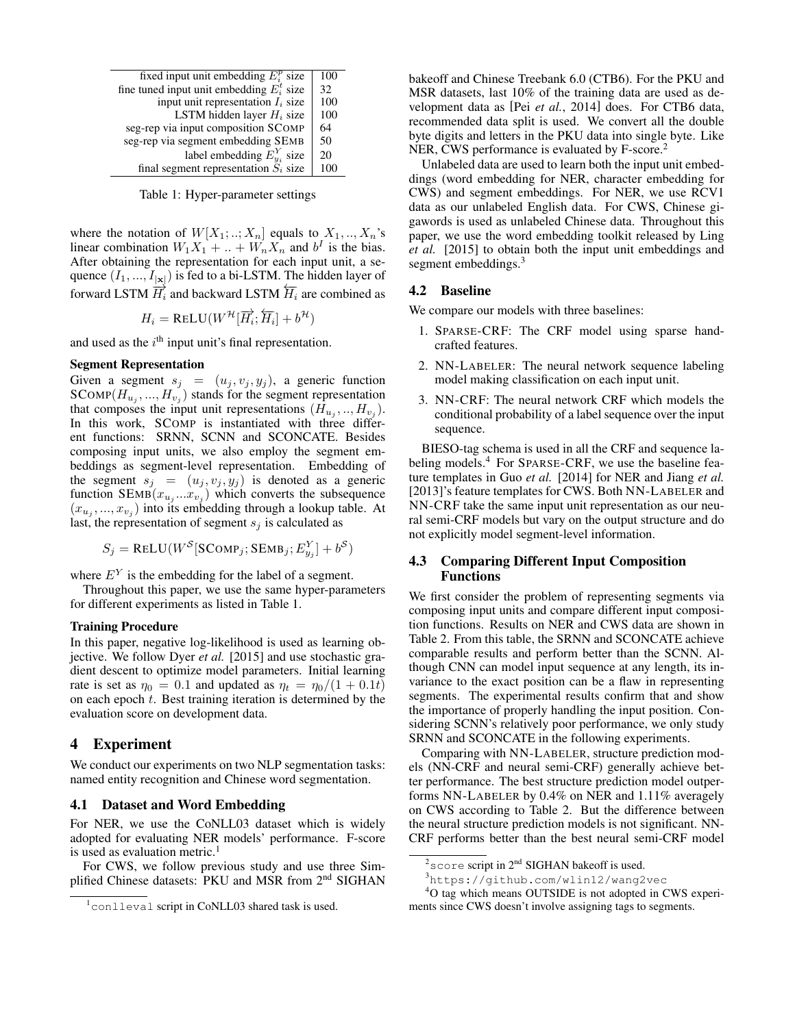| fixed input unit embedding $E_i^p$ size      | 100 |
|----------------------------------------------|-----|
| fine tuned input unit embedding $E_i^t$ size | 32  |
| input unit representation $I_i$ size         | 100 |
| LSTM hidden layer $H_i$ size                 | 100 |
| seg-rep via input composition SCOMP          | 64  |
| seg-rep via segment embedding SEMB           | 50  |
| label embedding $E_{y_i}^Y$ size             | 20  |
| final segment representation $S_i$ size      | 100 |

Table 1: Hyper-parameter settings

where the notation of  $W[X_1;..;X_n]$  equals to  $X_1,..,X_n$ 's linear combination  $W_1X_1 + ... + W_nX_n$  and  $b^I$  is the bias. After obtaining the representation for each input unit, a sequence  $(I_1, ..., I_{|\mathbf{x}|})$  is fed to a bi-LSTM. The hidden layer of forward LSTM  $\overrightarrow{H_i}$  and backward LSTM  $\overleftarrow{H_i}$  are combined as

$$
H_i = \text{ReLU}(W^{\mathcal{H}}[\overrightarrow{H_i}; \overleftarrow{H_i}] + b^{\mathcal{H}})
$$

and used as the  $i<sup>th</sup>$  input unit's final representation.

# Segment Representation

Given a segment  $s_j = (u_j, v_j, y_j)$ , a generic function  $SCOMP(H_{u_j},...,H_{v_j})$  stands for the segment representation that composes the input unit representations  $(H_{u_j},...,H_{v_j})$ . In this work, SCOMP is instantiated with three different functions: SRNN, SCNN and SCONCATE. Besides composing input units, we also employ the segment embeddings as segment-level representation. Embedding of the segment  $s_j = (u_j, v_j, y_j)$  is denoted as a generic function  $\text{SEMB}(x_{u_j}...x_{v_j})$  which converts the subsequence  $(x_{u_j},...,x_{v_j})$  into its embedding through a lookup table. At last, the representation of segment  $s_i$  is calculated as

$$
S_j = \text{RELU}(W^S[\text{SComp}_j; \text{SEMB}_j; E^Y_{y_j}] + b^S)
$$

where  $E<sup>Y</sup>$  is the embedding for the label of a segment.

Throughout this paper, we use the same hyper-parameters for different experiments as listed in Table 1.

#### Training Procedure

In this paper, negative log-likelihood is used as learning objective. We follow Dyer *et al.* [2015] and use stochastic gradient descent to optimize model parameters. Initial learning rate is set as  $\eta_0 = 0.1$  and updated as  $\eta_t = \eta_0/(1 + 0.1t)$ on each epoch  $t$ . Best training iteration is determined by the evaluation score on development data.

# 4 Experiment

We conduct our experiments on two NLP segmentation tasks: named entity recognition and Chinese word segmentation.

# 4.1 Dataset and Word Embedding

For NER, we use the CoNLL03 dataset which is widely adopted for evaluating NER models' performance. F-score is used as evaluation metric.<sup>1</sup>

For CWS, we follow previous study and use three Simplified Chinese datasets: PKU and MSR from 2<sup>nd</sup> SIGHAN bakeoff and Chinese Treebank 6.0 (CTB6). For the PKU and MSR datasets, last 10% of the training data are used as development data as [Pei *et al.*, 2014] does. For CTB6 data, recommended data split is used. We convert all the double byte digits and letters in the PKU data into single byte. Like NER, CWS performance is evaluated by F-score.<sup>2</sup>

Unlabeled data are used to learn both the input unit embeddings (word embedding for NER, character embedding for CWS) and segment embeddings. For NER, we use RCV1 data as our unlabeled English data. For CWS, Chinese gigawords is used as unlabeled Chinese data. Throughout this paper, we use the word embedding toolkit released by Ling *et al.* [2015] to obtain both the input unit embeddings and segment embeddings.<sup>3</sup>

### 4.2 Baseline

We compare our models with three baselines:

- 1. SPARSE-CRF: The CRF model using sparse handcrafted features.
- 2. NN-LABELER: The neural network sequence labeling model making classification on each input unit.
- 3. NN-CRF: The neural network CRF which models the conditional probability of a label sequence over the input sequence.

BIESO-tag schema is used in all the CRF and sequence labeling models.<sup>4</sup> For SPARSE-CRF, we use the baseline feature templates in Guo *et al.* [2014] for NER and Jiang *et al.* [2013]'s feature templates for CWS. Both NN-LABELER and NN-CRF take the same input unit representation as our neural semi-CRF models but vary on the output structure and do not explicitly model segment-level information.

### 4.3 Comparing Different Input Composition Functions

We first consider the problem of representing segments via composing input units and compare different input composition functions. Results on NER and CWS data are shown in Table 2. From this table, the SRNN and SCONCATE achieve comparable results and perform better than the SCNN. Although CNN can model input sequence at any length, its invariance to the exact position can be a flaw in representing segments. The experimental results confirm that and show the importance of properly handling the input position. Considering SCNN's relatively poor performance, we only study SRNN and SCONCATE in the following experiments.

Comparing with NN-LABELER, structure prediction models (NN-CRF and neural semi-CRF) generally achieve better performance. The best structure prediction model outperforms NN-LABELER by 0.4% on NER and 1.11% averagely on CWS according to Table 2. But the difference between the neural structure prediction models is not significant. NN-CRF performs better than the best neural semi-CRF model

<sup>1</sup>conlleval script in CoNLL03 shared task is used.

 $2$  score script in  $2<sup>nd</sup>$  SIGHAN bakeoff is used.

<sup>3</sup>https://github.com/wlin12/wang2vec

<sup>&</sup>lt;sup>4</sup>O tag which means OUTSIDE is not adopted in CWS experiments since CWS doesn't involve assigning tags to segments.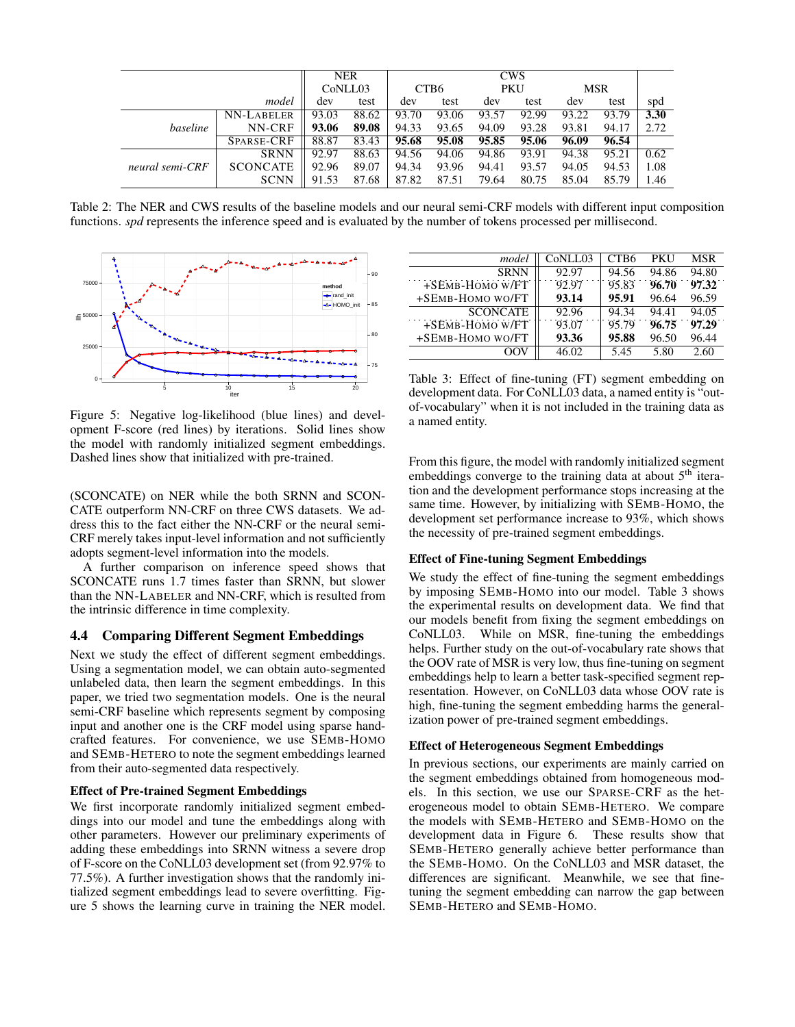|                 |                 |         | <b>NER</b> |                  |       |            | <b>CWS</b> |            |       |      |
|-----------------|-----------------|---------|------------|------------------|-------|------------|------------|------------|-------|------|
|                 |                 | CoNLL03 |            | CTB <sub>6</sub> |       | <b>PKU</b> |            | <b>MSR</b> |       |      |
| model           |                 | dev     | test       | dev              | test  | dev        | test       | dev        | test  | spd  |
| baseline        | NN-LABELER      | 93.03   | 88.62      | 93.70            | 93.06 | 93.57      | 92.99      | 93.22      | 93.79 | 3.30 |
|                 | NN-CRF          | 93.06   | 89.08      | 94.33            | 93.65 | 94.09      | 93.28      | 93.81      | 94.17 | 2.72 |
|                 | SPARSE-CRF      | 88.87   | 83.43      | 95.68            | 95.08 | 95.85      | 95.06      | 96.09      | 96.54 |      |
| neural semi-CRF | <b>SRNN</b>     | 92.97   | 88.63      | 94.56            | 94.06 | 94.86      | 93.91      | 94.38      | 95.21 | 0.62 |
|                 | <b>SCONCATE</b> | 92.96   | 89.07      | 94.34            | 93.96 | 94.41      | 93.57      | 94.05      | 94.53 | 1.08 |
|                 | <b>SCNN</b>     | 91.53   | 87.68      | 87.82            | 87.51 | 79.64      | 80.75      | 85.04      | 85.79 | 1.46 |

Table 2: The NER and CWS results of the baseline models and our neural semi-CRF models with different input composition functions. *spd* represents the inference speed and is evaluated by the number of tokens processed per millisecond.



Figure 5: Negative log-likelihood (blue lines) and development F-score (red lines) by iterations. Solid lines show the model with randomly initialized segment embeddings. Dashed lines show that initialized with pre-trained.

(SCONCATE) on NER while the both SRNN and SCON-CATE outperform NN-CRF on three CWS datasets. We address this to the fact either the NN-CRF or the neural semi-CRF merely takes input-level information and not sufficiently adopts segment-level information into the models.

A further comparison on inference speed shows that SCONCATE runs 1.7 times faster than SRNN, but slower than the NN-LABELER and NN-CRF, which is resulted from the intrinsic difference in time complexity.

# 4.4 Comparing Different Segment Embeddings

Next we study the effect of different segment embeddings. Using a segmentation model, we can obtain auto-segmented unlabeled data, then learn the segment embeddings. In this paper, we tried two segmentation models. One is the neural semi-CRF baseline which represents segment by composing input and another one is the CRF model using sparse handcrafted features. For convenience, we use SEMB-HOMO and SEMB-HETERO to note the segment embeddings learned from their auto-segmented data respectively.

# Effect of Pre-trained Segment Embeddings

We first incorporate randomly initialized segment embeddings into our model and tune the embeddings along with other parameters. However our preliminary experiments of adding these embeddings into SRNN witness a severe drop of F-score on the CoNLL03 development set (from 92.97% to 77.5%). A further investigation shows that the randomly initialized segment embeddings lead to severe overfitting. Figure 5 shows the learning curve in training the NER model.

| model            | CoNLL03 | CTB <sub>6</sub> | <b>PKU</b> | <b>MSR</b> |
|------------------|---------|------------------|------------|------------|
| <b>SRNN</b>      | 92.97   | 94.56            | 94.86      | 94.80      |
| +SEMB-HOMO W/FT  | 92.97   | 95.83            | 96.70      | 97.32      |
| +SEMB-HOMO WO/FT | 93.14   | 95.91            | 96.64      | 96.59      |
| <b>SCONCATE</b>  | 92.96   | 94.34            | 94.41      | 94.05      |
| +SEMB-HOMO W/FT  | 93.07   | 95.79            | 96.75      | 97.29      |
| +SEMB-HOMO WO/FT | 93.36   | 95.88            | 96.50      | 96.44      |
| OOV              | 46.02   | 5.45             | 5.80       | 2.60       |

Table 3: Effect of fine-tuning (FT) segment embedding on development data. For CoNLL03 data, a named entity is "outof-vocabulary" when it is not included in the training data as a named entity.

From this figure, the model with randomly initialized segment embeddings converge to the training data at about  $5<sup>th</sup>$  iteration and the development performance stops increasing at the same time. However, by initializing with SEMB-HOMO, the development set performance increase to 93%, which shows the necessity of pre-trained segment embeddings.

### Effect of Fine-tuning Segment Embeddings

We study the effect of fine-tuning the segment embeddings by imposing SEMB-HOMO into our model. Table 3 shows the experimental results on development data. We find that our models benefit from fixing the segment embeddings on CoNLL03. While on MSR, fine-tuning the embeddings helps. Further study on the out-of-vocabulary rate shows that the OOV rate of MSR is very low, thus fine-tuning on segment embeddings help to learn a better task-specified segment representation. However, on CoNLL03 data whose OOV rate is high, fine-tuning the segment embedding harms the generalization power of pre-trained segment embeddings.

### Effect of Heterogeneous Segment Embeddings

In previous sections, our experiments are mainly carried on the segment embeddings obtained from homogeneous models. In this section, we use our SPARSE-CRF as the heterogeneous model to obtain SEMB-HETERO. We compare the models with SEMB-HETERO and SEMB-HOMO on the development data in Figure 6. These results show that SEMB-HETERO generally achieve better performance than the SEMB-HOMO. On the CoNLL03 and MSR dataset, the differences are significant. Meanwhile, we see that finetuning the segment embedding can narrow the gap between SEMB-HETERO and SEMB-HOMO.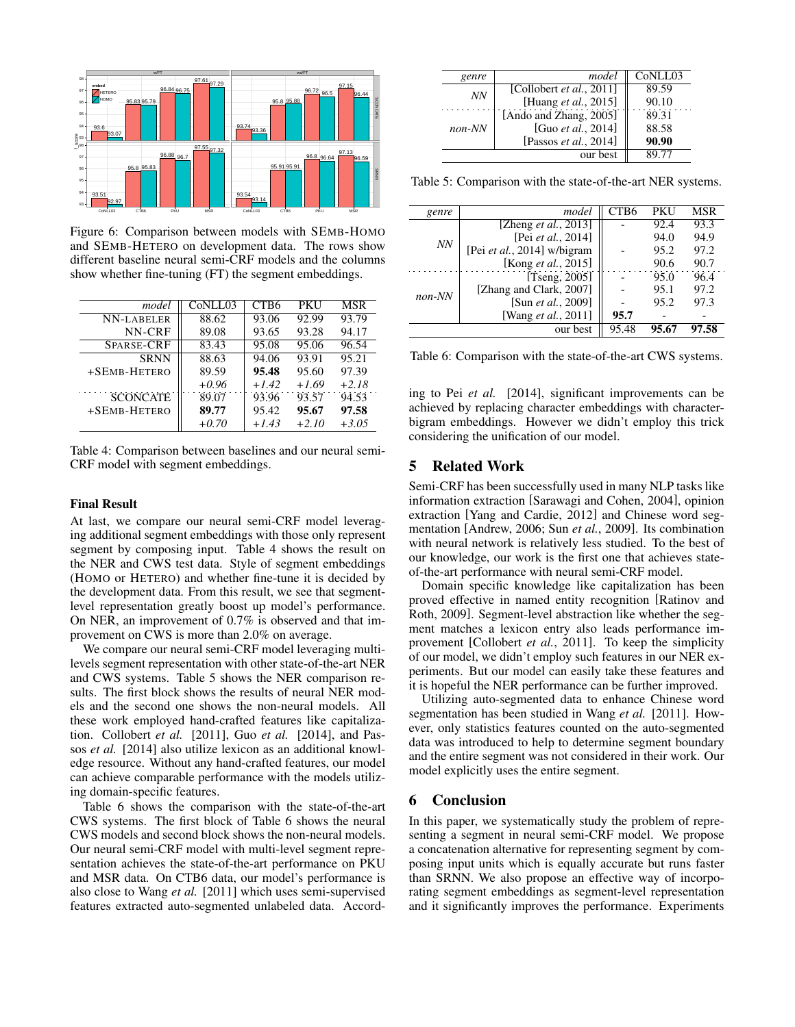

Figure 6: Comparison between models with SEMB-HOMO and SEMB-HETERO on development data. The rows show different baseline neural semi-CRF models and the columns show whether fine-tuning (FT) the segment embeddings.

| model             | CoNLL03 | CTB <sub>6</sub> | <b>PKU</b> | MSR     |
|-------------------|---------|------------------|------------|---------|
| NN-LABELER        | 88.62   | 93.06            | 92.99      | 93.79   |
| NN-CRF            | 89.08   | 93.65            | 93.28      | 94.17   |
| <b>SPARSE-CRF</b> | 83.43   | 95.08            | 95.06      | 96.54   |
| <b>SRNN</b>       | 88.63   | 94.06            | 93.91      | 95.21   |
| +SEMB-HETERO      | 89.59   | 95.48            | 95.60      | 97.39   |
|                   | $+0.96$ | $+1.42$          | $+1.69$    | $+2.18$ |
| <b>SCONCATE</b>   | 89.07   | 93.96            | 93.57      | 94.53   |
| +SEMB-HETERO      | 89.77   | 95.42            | 95.67      | 97.58   |
|                   | $+0.70$ | $+1.43$          | $+2.10$    | $+3.05$ |

Table 4: Comparison between baselines and our neural semi-CRF model with segment embeddings.

### Final Result

At last, we compare our neural semi-CRF model leveraging additional segment embeddings with those only represent segment by composing input. Table 4 shows the result on the NER and CWS test data. Style of segment embeddings (HOMO or HETERO) and whether fine-tune it is decided by the development data. From this result, we see that segmentlevel representation greatly boost up model's performance. On NER, an improvement of 0.7% is observed and that improvement on CWS is more than 2.0% on average.

We compare our neural semi-CRF model leveraging multilevels segment representation with other state-of-the-art NER and CWS systems. Table 5 shows the NER comparison results. The first block shows the results of neural NER models and the second one shows the non-neural models. All these work employed hand-crafted features like capitalization. Collobert *et al.* [2011], Guo *et al.* [2014], and Passos *et al.* [2014] also utilize lexicon as an additional knowledge resource. Without any hand-crafted features, our model can achieve comparable performance with the models utilizing domain-specific features.

Table 6 shows the comparison with the state-of-the-art CWS systems. The first block of Table 6 shows the neural CWS models and second block shows the non-neural models. Our neural semi-CRF model with multi-level segment representation achieves the state-of-the-art performance on PKU and MSR data. On CTB6 data, our model's performance is also close to Wang *et al.* [2011] which uses semi-supervised features extracted auto-segmented unlabeled data. Accord-

| genre    | model                            | CoNLL03 |
|----------|----------------------------------|---------|
| NN       | [Collobert <i>et al.</i> , 2011] | 89.59   |
|          | [Huang et al., 2015]             | 90.10   |
| $non-NN$ | [Ando and Zhang, 2005]           | 89.31   |
|          | [Guo et al., 2014]               | 88.58   |
|          | [Passos et al., 2014]            | 90.90   |
|          | our best                         | 89.77   |

Table 5: Comparison with the state-of-the-art NER systems.

| genre    | model                        | CTB6  | PKU  | MSR   |
|----------|------------------------------|-------|------|-------|
| NN       | [Zheng <i>et al.</i> , 2013] |       | 92.4 | 93.3  |
|          | [Pei et al., 2014]           |       | 94.0 | 94.9  |
|          | [Pei et al., 2014] w/bigram  |       | 95.2 | 97.2  |
|          | [Kong et al., 2015]          |       | 90.6 | 90.7  |
|          | [Tseng, 2005]                |       | 95.0 | 96.4  |
| $non-NN$ | [Zhang and Clark, 2007]      |       | 95.1 | 97.2  |
|          | [Sun et al., 2009]           |       | 95.2 | 97.3  |
|          | [Wang et al., 2011]          | 95.7  |      |       |
|          | our best                     | 95.48 |      | 97.58 |

Table 6: Comparison with the state-of-the-art CWS systems.

ing to Pei *et al.* [2014], significant improvements can be achieved by replacing character embeddings with characterbigram embeddings. However we didn't employ this trick considering the unification of our model.

## 5 Related Work

Semi-CRF has been successfully used in many NLP tasks like information extraction [Sarawagi and Cohen, 2004], opinion extraction [Yang and Cardie, 2012] and Chinese word segmentation [Andrew, 2006; Sun *et al.*, 2009]. Its combination with neural network is relatively less studied. To the best of our knowledge, our work is the first one that achieves stateof-the-art performance with neural semi-CRF model.

Domain specific knowledge like capitalization has been proved effective in named entity recognition [Ratinov and Roth, 2009]. Segment-level abstraction like whether the segment matches a lexicon entry also leads performance improvement [Collobert *et al.*, 2011]. To keep the simplicity of our model, we didn't employ such features in our NER experiments. But our model can easily take these features and it is hopeful the NER performance can be further improved.

Utilizing auto-segmented data to enhance Chinese word segmentation has been studied in Wang *et al.* [2011]. However, only statistics features counted on the auto-segmented data was introduced to help to determine segment boundary and the entire segment was not considered in their work. Our model explicitly uses the entire segment.

# 6 Conclusion

In this paper, we systematically study the problem of representing a segment in neural semi-CRF model. We propose a concatenation alternative for representing segment by composing input units which is equally accurate but runs faster than SRNN. We also propose an effective way of incorporating segment embeddings as segment-level representation and it significantly improves the performance. Experiments